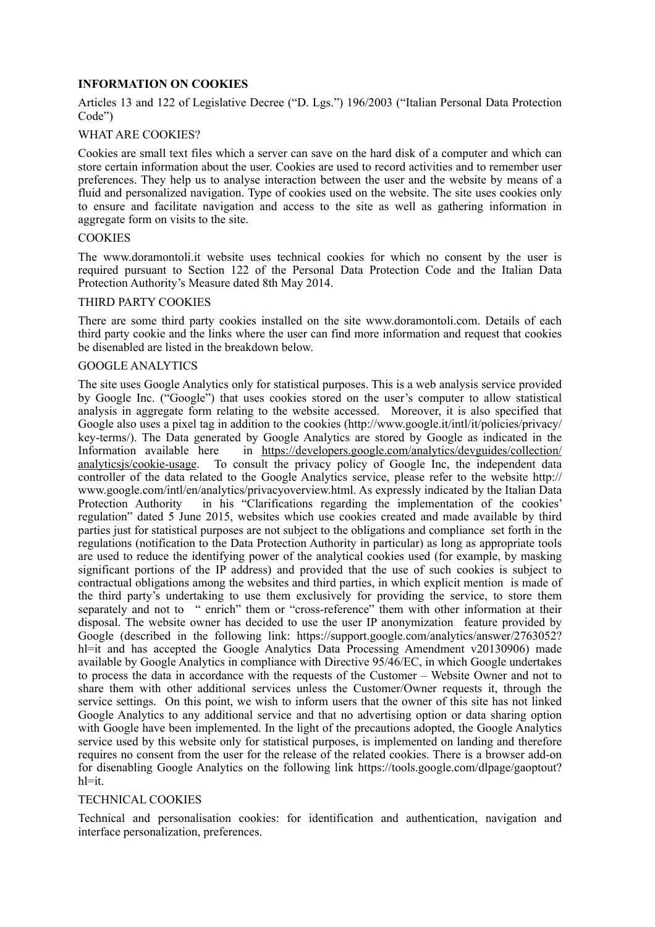# **INFORMATION ON COOKIES**

Articles 13 and 122 of Legislative Decree ("D. Lgs.") 196/2003 ("Italian Personal Data Protection Code")

## WHAT ARE COOKIES?

Cookies are small text files which a server can save on the hard disk of a computer and which can store certain information about the user. Cookies are used to record activities and to remember user preferences. They help us to analyse interaction between the user and the website by means of a fluid and personalized navigation. Type of cookies used on the website. The site uses cookies only to ensure and facilitate navigation and access to the site as well as gathering information in aggregate form on visits to the site.

### **COOKIES**

The www.doramontoli.it website uses technical cookies for which no consent by the user is required pursuant to Section 122 of the Personal Data Protection Code and the Italian Data Protection Authority's Measure dated 8th May 2014.

### THIRD PARTY COOKIES

There are some third party cookies installed on the site www.doramontoli.com. Details of each third party cookie and the links where the user can find more information and request that cookies be disenabled are listed in the breakdown below.

### GOOGLE ANALYTICS

The site uses Google Analytics only for statistical purposes. This is a web analysis service provided by Google Inc. ("Google") that uses cookies stored on the user's computer to allow statistical analysis in aggregate form relating to the website accessed. Moreover, it is also specified that Google also uses a pixel tag in addition to the cookies (http://www.google.it/intl/it/policies/privacy/ key-terms/). The Data generated by Google Analytics are stored by Google as indicated in the Information available here in [https://developers.google.com/analytics/devguides/collection/](https://developers.google.com/analytics/devguides/collection/analyticsjs/cookie-usage) [analyticsjs/cookie-usage](https://developers.google.com/analytics/devguides/collection/analyticsjs/cookie-usage). To consult the privacy policy of Google Inc, the independent data controller of the data related to the Google Analytics service, please refer to the website http:// www.google.com/intl/en/analytics/privacyoverview.html. As expressly indicated by the Italian Data Protection Authority in his "Clarifications regarding the implementation of the cookies' regulation" dated 5 June 2015, websites which use cookies created and made available by third parties just for statistical purposes are not subject to the obligations and compliance set forth in the regulations (notification to the Data Protection Authority in particular) as long as appropriate tools are used to reduce the identifying power of the analytical cookies used (for example, by masking significant portions of the IP address) and provided that the use of such cookies is subject to contractual obligations among the websites and third parties, in which explicit mention is made of the third party's undertaking to use them exclusively for providing the service, to store them separately and not to " enrich" them or "cross-reference" them with other information at their disposal. The website owner has decided to use the user IP anonymization feature provided by Google (described in the following link: https://support.google.com/analytics/answer/2763052? hl=it and has accepted the Google Analytics Data Processing Amendment v20130906) made available by Google Analytics in compliance with Directive 95/46/EC, in which Google undertakes to process the data in accordance with the requests of the Customer – Website Owner and not to share them with other additional services unless the Customer/Owner requests it, through the service settings. On this point, we wish to inform users that the owner of this site has not linked Google Analytics to any additional service and that no advertising option or data sharing option with Google have been implemented. In the light of the precautions adopted, the Google Analytics service used by this website only for statistical purposes, is implemented on landing and therefore requires no consent from the user for the release of the related cookies. There is a browser add-on for disenabling Google Analytics on the following link https://tools.google.com/dlpage/gaoptout?  $h$ l=it.

## TECHNICAL COOKIES

Technical and personalisation cookies: for identification and authentication, navigation and interface personalization, preferences.